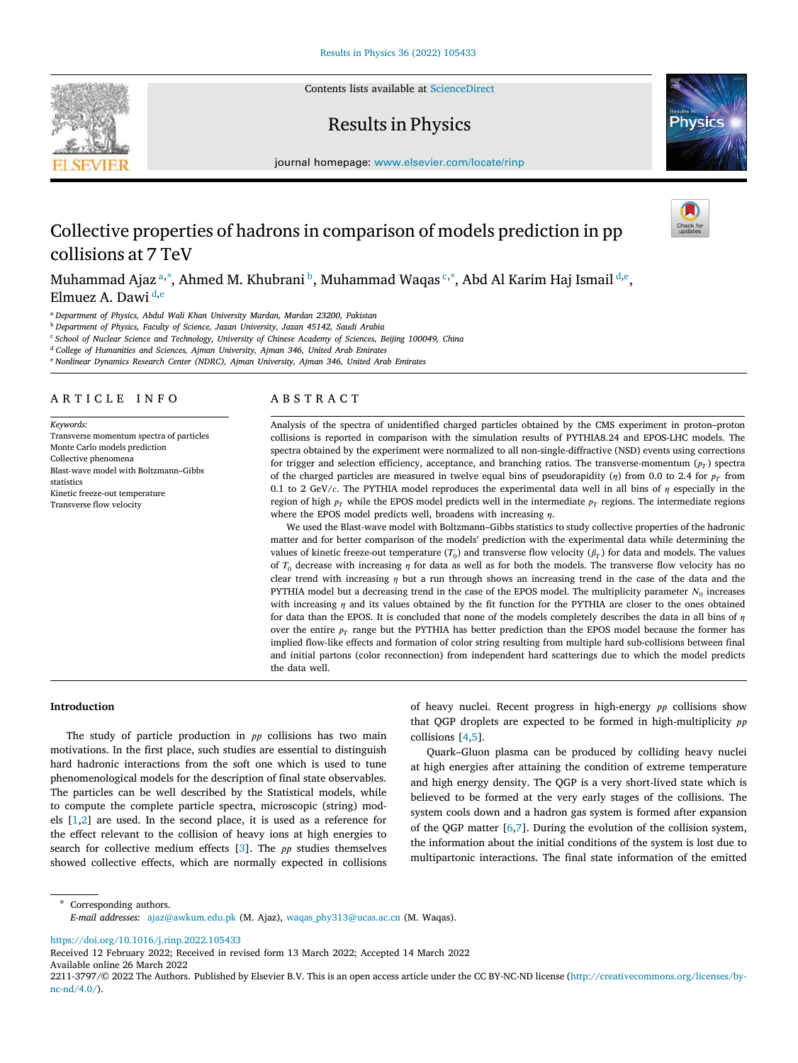Contents lists available at [ScienceDirect](http://www.elsevier.com/locate/rinp)

# Results in Physics

journal homepage: [www.elsevier.com/locate/rinp](http://www.elsevier.com/locate/rinp)

# Collective properties of hadrons in comparison of models prediction in pp collisions at 7 TeV

Muh[a](#page-0-0)mmad Ajaz ª,\*, Ahmed M. Khu[b](#page-0-2)rani ʰ, Muhamma[d](#page-0-4) Waqas ˤ,\*, Abd Al Karim Haj Ismail <sup>d,[e](#page-0-5)</sup>, Elmu[e](#page-0-5)z A. Dawi  $\frac{d,e}{dt}$  $\frac{d,e}{dt}$  $\frac{d,e}{dt}$ 

<span id="page-0-0"></span><sup>a</sup> *Department of Physics, Abdul Wali Khan University Mardan, Mardan 23200, Pakistan*

<span id="page-0-2"></span><sup>b</sup> *Department of Physics, Faculty of Science, Jazan University, Jazan 45142, Saudi Arabia*

<span id="page-0-3"></span><sup>c</sup> *School of Nuclear Science and Technology, University of Chinese Academy of Sciences, Beijing 100049, China*

<span id="page-0-4"></span><sup>d</sup> *College of Humanities and Sciences, Ajman University, Ajman 346, United Arab Emirates*

<span id="page-0-5"></span><sup>e</sup> *Nonlinear Dynamics Research Center (NDRC), Ajman University, Ajman 346, United Arab Emirates*

## A R T I C L E I N F O

*Keywords:* Transverse momentum spectra of particles Monte Carlo models prediction Collective phenomena Blast-wave model with Boltzmann–Gibbs statistics Kinetic freeze-out temperature Transverse flow velocity

# A B S T R A C T

Analysis of the spectra of unidentified charged particles obtained by the CMS experiment in proton–proton collisions is reported in comparison with the simulation results of PYTHIA8.24 and EPOS-LHC models. The spectra obtained by the experiment were normalized to all non-single-diffractive (NSD) events using corrections for trigger and selection efficiency, acceptance, and branching ratios. The transverse-momentum  $(p_T)$  spectra of the charged particles are measured in twelve equal bins of pseudorapidity ( $\eta$ ) from 0.0 to 2.4 for  $p_T$  from 0.1 to 2 GeV/c. The PYTHIA model reproduces the experimental data well in all bins of  $\eta$  especially in the region of high  $p_T$  while the EPOS model predicts well in the intermediate  $p_T$  regions. The intermediate regions where the EPOS model predicts well, broadens with increasing  $n$ .

We used the Blast-wave model with Boltzmann–Gibbs statistics to study collective properties of the hadronic matter and for better comparison of the models' prediction with the experimental data while determining the values of kinetic freeze-out temperature  $(T_0)$  and transverse flow velocity  $(\beta_T)$  for data and models. The values of  $T_0$  decrease with increasing  $\eta$  for data as well as for both the models. The transverse flow velocity has no clear trend with increasing  $\eta$  but a run through shows an increasing trend in the case of the data and the PYTHIA model but a decreasing trend in the case of the EPOS model. The multiplicity parameter  $N_0$  increases with increasing  $\eta$  and its values obtained by the fit function for the PYTHIA are closer to the ones obtained for data than the EPOS. It is concluded that none of the models completely describes the data in all bins of  $\eta$ over the entire  $p_T$  range but the PYTHIA has better prediction than the EPOS model because the former has implied flow-like effects and formation of color string resulting from multiple hard sub-collisions between final and initial partons (color reconnection) from independent hard scatterings due to which the model predicts the data well.

## **Introduction**

The study of particle production in  $pp$  collisions has two main motivations. In the first place, such studies are essential to distinguish hard hadronic interactions from the soft one which is used to tune phenomenological models for the description of final state observables. The particles can be well described by the Statistical models, while to compute the complete particle spectra, microscopic (string) models[[1](#page-5-0),[2](#page-5-1)] are used. In the second place, it is used as a reference for the effect relevant to the collision of heavy ions at high energies to searchfor collective medium effects  $[3]$  $[3]$  $[3]$ . The  $pp$  studies themselves showed collective effects, which are normally expected in collisions of heavy nuclei. Recent progress in high-energy  $pp$  collisions show that QGP droplets are expected to be formed in high-multiplicity  $pp$ collisions [\[4](#page-5-3)[,5\]](#page-5-4).

Quark–Gluon plasma can be produced by colliding heavy nuclei at high energies after attaining the condition of extreme temperature and high energy density. The QGP is a very short-lived state which is believed to be formed at the very early stages of the collisions. The system cools down and a hadron gas system is formed after expansion of the QGP matter[[6](#page-5-5)[,7\]](#page-5-6). During the evolution of the collision system, the information about the initial conditions of the system is lost due to multipartonic interactions. The final state information of the emitted

<span id="page-0-1"></span>Corresponding authors. *E-mail addresses:* [ajaz@awkum.edu.pk](mailto:ajaz@awkum.edu.pk) (M. Ajaz), [waqas\\_phy313@ucas.ac.cn](mailto:waqas_phy313@ucas.ac.cn) (M. Waqas).

<https://doi.org/10.1016/j.rinp.2022.105433>

Available online 26 March 2022 Received 12 February 2022; Received in revised form 13 March 2022; Accepted 14 March 2022







<sup>2211-3797/© 2022</sup> The Authors. Published by Elsevier B.V. This is an open access article under the CC BY-NC-ND license (http://creativecommons.org/licenses/by $nc\text{-}nd/4.0/$ ).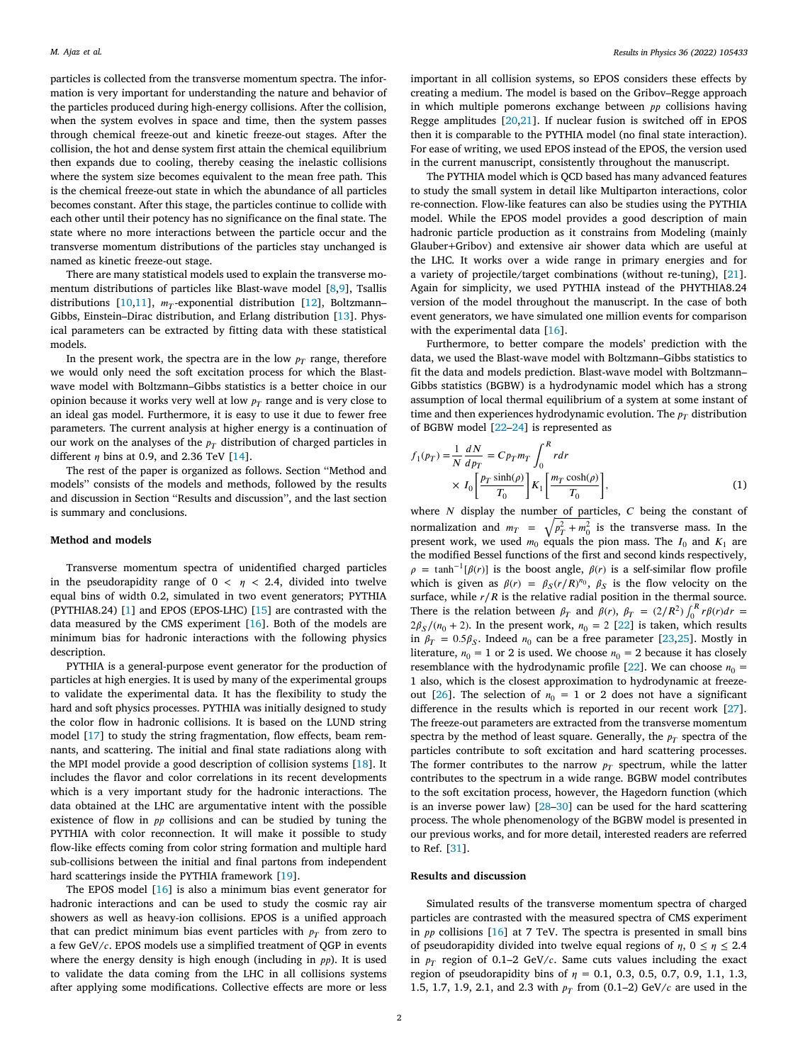particles is collected from the transverse momentum spectra. The information is very important for understanding the nature and behavior of the particles produced during high-energy collisions. After the collision, when the system evolves in space and time, then the system passes through chemical freeze-out and kinetic freeze-out stages. After the collision, the hot and dense system first attain the chemical equilibrium then expands due to cooling, thereby ceasing the inelastic collisions where the system size becomes equivalent to the mean free path. This is the chemical freeze-out state in which the abundance of all particles becomes constant. After this stage, the particles continue to collide with each other until their potency has no significance on the final state. The state where no more interactions between the particle occur and the transverse momentum distributions of the particles stay unchanged is named as kinetic freeze-out stage.

There are many statistical models used to explain the transverse momentum distributions of particles like Blast-wave model [\[8](#page-5-7)[,9\]](#page-5-8), Tsallis distributions[[10,](#page-5-9)[11](#page-5-10)],  $m_T$ -exponential distribution [[12\]](#page-5-11), Boltzmann– Gibbs, Einstein–Dirac distribution, and Erlang distribution [\[13](#page-5-12)]. Physical parameters can be extracted by fitting data with these statistical models.

In the present work, the spectra are in the low  $p_T$  range, therefore we would only need the soft excitation process for which the Blastwave model with Boltzmann–Gibbs statistics is a better choice in our opinion because it works very well at low  $p_T$  range and is very close to an ideal gas model. Furthermore, it is easy to use it due to fewer free parameters. The current analysis at higher energy is a continuation of our work on the analyses of the  $p_T$  distribution of charged particles in different $\eta$  bins at 0.9, and 2.36 TeV [[14\]](#page-5-13).

The rest of the paper is organized as follows. Section ''Method and models'' consists of the models and methods, followed by the results and discussion in Section ''Results and discussion'', and the last section is summary and conclusions.

## **Method and models**

Transverse momentum spectra of unidentified charged particles in the pseudorapidity range of  $0 < \eta < 2.4$ , divided into twelve equal bins of width 0.2, simulated in two event generators; PYTHIA (PYTHIA8.24)[[1](#page-5-0)] and EPOS (EPOS-LHC)[[15\]](#page-5-14) are contrasted with the data measured by the CMS experiment [\[16](#page-5-15)]. Both of the models are minimum bias for hadronic interactions with the following physics description.

PYTHIA is a general-purpose event generator for the production of particles at high energies. It is used by many of the experimental groups to validate the experimental data. It has the flexibility to study the hard and soft physics processes. PYTHIA was initially designed to study the color flow in hadronic collisions. It is based on the LUND string model[[17\]](#page-5-16) to study the string fragmentation, flow effects, beam remnants, and scattering. The initial and final state radiations along with the MPI model provide a good description of collision systems [\[18](#page-5-17)]. It includes the flavor and color correlations in its recent developments which is a very important study for the hadronic interactions. The data obtained at the LHC are argumentative intent with the possible existence of flow in  $pp$  collisions and can be studied by tuning the PYTHIA with color reconnection. It will make it possible to study flow-like effects coming from color string formation and multiple hard sub-collisions between the initial and final partons from independent hardscatterings inside the PYTHIA framework [[19\]](#page-5-18).

The EPOS model[[16\]](#page-5-15) is also a minimum bias event generator for hadronic interactions and can be used to study the cosmic ray air showers as well as heavy-ion collisions. EPOS is a unified approach that can predict minimum bias event particles with  $p_T$  from zero to a few  $GeV/c$ . EPOS models use a simplified treatment of QGP in events where the energy density is high enough (including in  $pp$ ). It is used to validate the data coming from the LHC in all collisions systems after applying some modifications. Collective effects are more or less

important in all collision systems, so EPOS considers these effects by creating a medium. The model is based on the Gribov–Regge approach in which multiple pomerons exchange between  $pp$  collisions having Regge amplitudes [\[20](#page-5-19),[21\]](#page-5-20). If nuclear fusion is switched off in EPOS then it is comparable to the PYTHIA model (no final state interaction). For ease of writing, we used EPOS instead of the EPOS, the version used in the current manuscript, consistently throughout the manuscript.

The PYTHIA model which is QCD based has many advanced features to study the small system in detail like Multiparton interactions, color re-connection. Flow-like features can also be studies using the PYTHIA model. While the EPOS model provides a good description of main hadronic particle production as it constrains from Modeling (mainly Glauber+Gribov) and extensive air shower data which are useful at the LHC. It works over a wide range in primary energies and for a variety of projectile/target combinations (without re-tuning), [\[21](#page-5-20)]. Again for simplicity, we used PYTHIA instead of the PHYTHIA8.24 version of the model throughout the manuscript. In the case of both event generators, we have simulated one million events for comparison with the experimental data [\[16](#page-5-15)].

Furthermore, to better compare the models' prediction with the data, we used the Blast-wave model with Boltzmann–Gibbs statistics to fit the data and models prediction. Blast-wave model with Boltzmann– Gibbs statistics (BGBW) is a hydrodynamic model which has a strong assumption of local thermal equilibrium of a system at some instant of time and then experiences hydrodynamic evolution. The  $p_T$  distribution of BGBW model [\[22](#page-5-21)[–24](#page-5-22)] is represented as

$$
f_1(p_T) = \frac{1}{N} \frac{dN}{dp_T} = Cp_T m_T \int_0^R r dr
$$
  
 
$$
\times I_0 \left[ \frac{p_T \sinh(\rho)}{T_0} \right] K_1 \left[ \frac{m_T \cosh(\rho)}{T_0} \right],
$$
 (1)

where  $N$  display the number of particles,  $C$  being the constant of normalization and  $m_T = \sqrt{p_T^2 + m_0^2}$  is the transverse mass. In the present work, we used  $m_0$  equals the pion mass. The  $I_0$  and  $K_1$  are the modified Bessel functions of the first and second kinds respectively,  $\rho = \tanh^{-1}[\beta(r)]$  is the boost angle,  $\beta(r)$  is a self-similar flow profile which is given as  $\beta(r) = \beta_S(r/R)^{n_0}$ ,  $\beta_S$  is the flow velocity on the surface, while  $r/R$  is the relative radial position in the thermal source. There is the relation between  $\beta_T$  and  $\beta(r)$ ,  $\beta_T = (2/R^2) \int_0^R r \beta(r) dr =$  $2\beta_S/(n_0 + 2)$ . In the present work,  $n_0 = 2$  [\[22](#page-5-21)] is taken, which results in $\beta_T = 0.5 \beta_S$ . Indeed  $n_0$  can be a free parameter [[23,](#page-5-23)[25\]](#page-5-24). Mostly in literature,  $n_0 = 1$  or 2 is used. We choose  $n_0 = 2$  because it has closely resemblancewith the hydrodynamic profile [[22\]](#page-5-21). We can choose  $n_0$  = 1 also, which is the closest approximation to hydrodynamic at freeze-out[[26\]](#page-5-25). The selection of  $n_0 = 1$  or 2 does not have a significant difference in the results which is reported in our recent work [\[27](#page-5-26)]. The freeze-out parameters are extracted from the transverse momentum spectra by the method of least square. Generally, the  $p_T$  spectra of the particles contribute to soft excitation and hard scattering processes. The former contributes to the narrow  $p_T$  spectrum, while the latter contributes to the spectrum in a wide range. BGBW model contributes to the soft excitation process, however, the Hagedorn function (which is an inverse power law) [\[28](#page-5-27)[–30](#page-5-28)] can be used for the hard scattering process. The whole phenomenology of the BGBW model is presented in our previous works, and for more detail, interested readers are referred to Ref. [\[31](#page-5-29)].

## **Results and discussion**

Simulated results of the transverse momentum spectra of charged particles are contrasted with the measured spectra of CMS experiment in  $pp$  collisions [\[16](#page-5-15)] at 7 TeV. The spectra is presented in small bins of pseudorapidity divided into twelve equal regions of  $\eta$ ,  $0 \le \eta \le 2.4$ in  $p_T$  region of 0.1–2 GeV/c. Same cuts values including the exact region of pseudorapidity bins of  $\eta = 0.1, 0.3, 0.5, 0.7, 0.9, 1.1, 1.3,$ 1.5, 1.7, 1.9, 2.1, and 2.3 with  $p_T$  from (0.1–2) GeV/c are used in the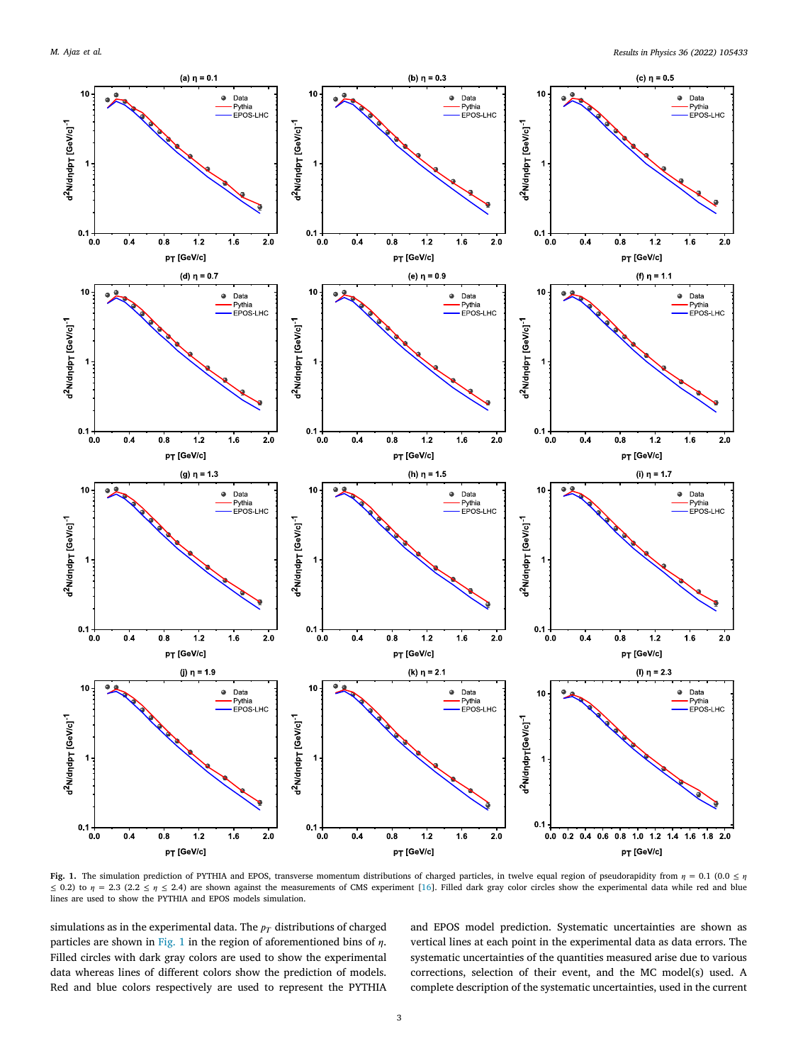

<span id="page-2-0"></span>**Fig. 1.** The simulation prediction of PYTHIA and EPOS, transverse momentum distributions of charged particles, in twelve equal region of pseudorapidity from  $\eta = 0.1$  (0.0  $\leq \eta$ ≤0.2) to  $\eta$  = 2.3 (2.2 ≤  $\eta$  ≤ 2.4) are shown against the measurements of CMS experiment [[16](#page-5-15)]. Filled dark gray color circles show the experimental data while red and blue lines are used to show the PYTHIA and EPOS models simulation.

simulations as in the experimental data. The  $p_T$  distributions of charged particles are shown in [Fig. 1](#page-2-0) in the region of aforementioned bins of  $\eta$ . Filled circles with dark gray colors are used to show the experimental data whereas lines of different colors show the prediction of models. Red and blue colors respectively are used to represent the PYTHIA

and EPOS model prediction. Systematic uncertainties are shown as vertical lines at each point in the experimental data as data errors. The systematic uncertainties of the quantities measured arise due to various corrections, selection of their event, and the MC model(s) used. A complete description of the systematic uncertainties, used in the current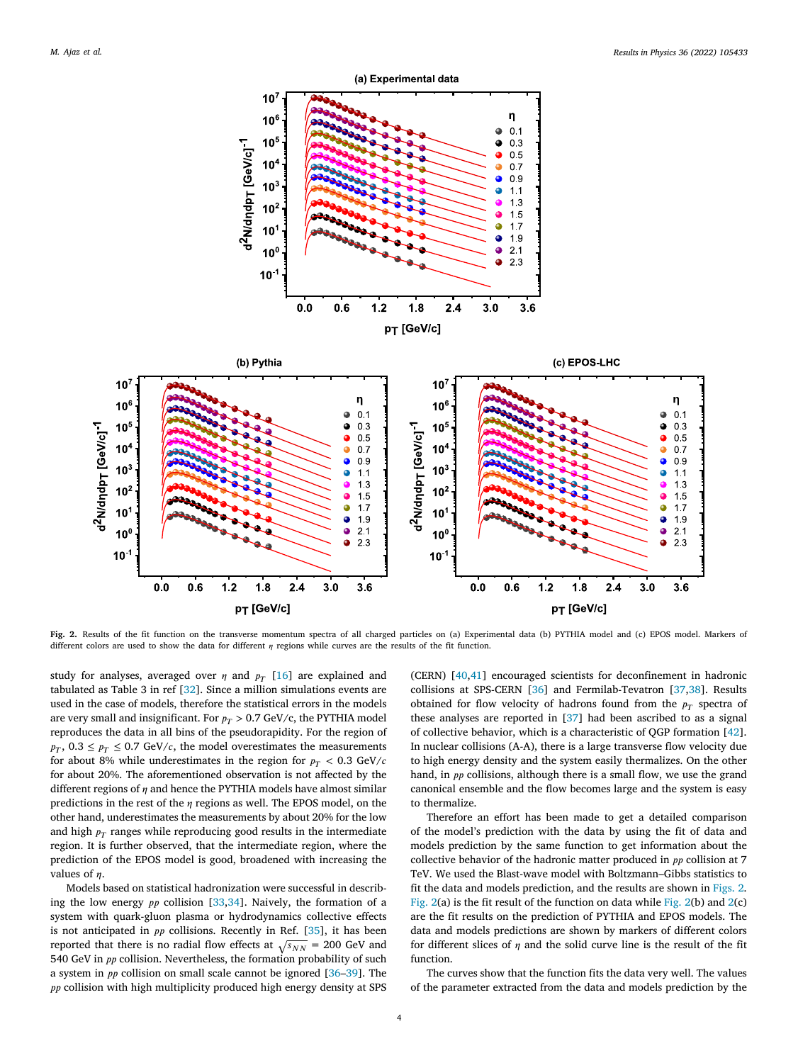

<span id="page-3-0"></span>**Fig. 2.** Results of the fit function on the transverse momentum spectra of all charged particles on (a) Experimental data (b) PYTHIA model and (c) EPOS model. Markers of different colors are used to show the data for different  $\eta$  regions while curves are the results of the fit function.

study for analyses, averaged over  $\eta$  and  $p_T$  [\[16](#page-5-15)] are explained and tabulated as Table 3 in ref [\[32](#page-5-30)]. Since a million simulations events are used in the case of models, therefore the statistical errors in the models are very small and insignificant. For  $p_T > 0.7$  GeV/c, the PYTHIA model reproduces the data in all bins of the pseudorapidity. For the region of  $p_T$ ,  $0.3 \leq p_T \leq 0.7$  GeV/c, the model overestimates the measurements for about 8% while underestimates in the region for  $p_T < 0.3$  GeV/c for about 20%. The aforementioned observation is not affected by the different regions of  $\eta$  and hence the PYTHIA models have almost similar predictions in the rest of the  $\eta$  regions as well. The EPOS model, on the other hand, underestimates the measurements by about 20% for the low and high  $p_T$  ranges while reproducing good results in the intermediate region. It is further observed, that the intermediate region, where the prediction of the EPOS model is good, broadened with increasing the values of  $\eta$ .

Models based on statistical hadronization were successful in describingthe low energy  $pp$  collision [[33,](#page-5-31)[34](#page-6-0)]. Naively, the formation of a system with quark-gluon plasma or hydrodynamics collective effects isnot anticipated in  $pp$  collisions. Recently in Ref. [[35\]](#page-6-1), it has been reported that there is no radial flow effects at  $\sqrt{s_{NN}}$  = 200 GeV and 540 GeV in  $pp$  collision. Nevertheless, the formation probability of such a system in  $pp$  collision on small scale cannot be ignored  $[36-39]$ . The  $pp$  collision with high multiplicity produced high energy density at SPS (CERN) [\[40](#page-6-4)[,41](#page-6-5)] encouraged scientists for deconfinement in hadronic collisions at SPS-CERN [\[36](#page-6-2)] and Fermilab-Tevatron [\[37](#page-6-6)[,38](#page-6-7)]. Results obtained for flow velocity of hadrons found from the  $p_T$  spectra of these analyses are reported in[[37\]](#page-6-6) had been ascribed to as a signal of collective behavior, which is a characteristic of QGP formation [\[42](#page-6-8)]. In nuclear collisions (A-A), there is a large transverse flow velocity due to high energy density and the system easily thermalizes. On the other hand, in  $pp$  collisions, although there is a small flow, we use the grand canonical ensemble and the flow becomes large and the system is easy to thermalize.

Therefore an effort has been made to get a detailed comparison of the model's prediction with the data by using the fit of data and models prediction by the same function to get information about the collective behavior of the hadronic matter produced in  $pp$  collision at 7 TeV. We used the Blast-wave model with Boltzmann–Gibbs statistics to fit the data and models prediction, and the results are shown in [Figs. 2](#page-3-0). Fig.  $2(a)$  $2(a)$  is the fit result of the function on data while Fig.  $2(b)$  and  $2(c)$ are the fit results on the prediction of PYTHIA and EPOS models. The data and models predictions are shown by markers of different colors for different slices of  $\eta$  and the solid curve line is the result of the fit function.

The curves show that the function fits the data very well. The values of the parameter extracted from the data and models prediction by the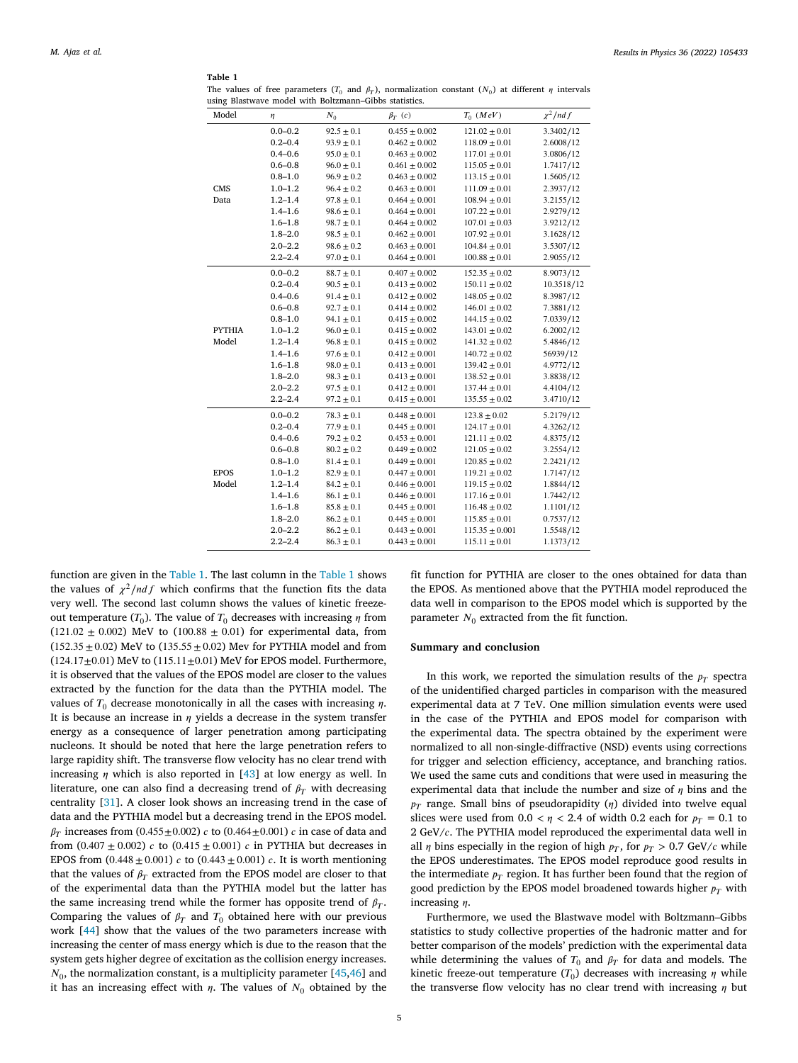<span id="page-4-0"></span>**Table 1** The values of free parameters  $(T_0$  and  $\beta_T$ ), normalization constant  $(N_0)$  at different  $\eta$  intervals using Blastwave model with Boltzmann–Gibbs statistics.

| Model                  | η           | $N_0$          | $\beta_T$ (c)     | $T_0$ (MeV)        | $\chi^2$ /nd f |
|------------------------|-------------|----------------|-------------------|--------------------|----------------|
|                        | $0.0 - 0.2$ | $92.5 \pm 0.1$ | $0.455 \pm 0.002$ | $121.02 \pm 0.01$  | 3.3402/12      |
| <b>CMS</b><br>Data     | $0.2 - 0.4$ | $93.9 \pm 0.1$ | $0.462 \pm 0.002$ | $118.09 \pm 0.01$  | 2.6008/12      |
|                        | $0.4 - 0.6$ | $95.0 \pm 0.1$ | $0.463 \pm 0.002$ | $117.01 \pm 0.01$  | 3.0806/12      |
|                        | $0.6 - 0.8$ | $96.0 \pm 0.1$ | $0.461 \pm 0.002$ | $115.05 \pm 0.01$  | 1.7417/12      |
|                        | $0.8 - 1.0$ | $96.9 \pm 0.2$ | $0.463 \pm 0.002$ | $113.15 \pm 0.01$  | 1.5605/12      |
|                        | $1.0 - 1.2$ | $96.4 \pm 0.2$ | $0.463 \pm 0.001$ | $111.09 \pm 0.01$  | 2.3937/12      |
|                        | $1.2 - 1.4$ | $97.8 \pm 0.1$ | $0.464 \pm 0.001$ | $108.94 \pm 0.01$  | 3.2155/12      |
|                        | $1.4 - 1.6$ | $98.6 \pm 0.1$ | $0.464 \pm 0.001$ | $107.22 \pm 0.01$  | 2.9279/12      |
|                        | $1.6 - 1.8$ | $98.7 \pm 0.1$ | $0.464 \pm 0.002$ | $107.01 \pm 0.03$  | 3.9212/12      |
|                        | $1.8 - 2.0$ | $98.5 \pm 0.1$ | $0.462 \pm 0.001$ | $107.92 \pm 0.01$  | 3.1628/12      |
|                        | $2.0 - 2.2$ | $98.6 \pm 0.2$ | $0.463 \pm 0.001$ | $104.84 \pm 0.01$  | 3.5307/12      |
|                        | $2.2 - 2.4$ | $97.0 \pm 0.1$ | $0.464 \pm 0.001$ | $100.88 \pm 0.01$  | 2.9055/12      |
| <b>PYTHIA</b><br>Model | $0.0 - 0.2$ | $88.7 \pm 0.1$ | $0.407 \pm 0.002$ | $152.35 \pm 0.02$  | 8.9073/12      |
|                        | $0.2 - 0.4$ | $90.5 \pm 0.1$ | $0.413 \pm 0.002$ | $150.11 \pm 0.02$  | 10.3518/12     |
|                        | $0.4 - 0.6$ | $91.4 \pm 0.1$ | $0.412 \pm 0.002$ | $148.05 \pm 0.02$  | 8.3987/12      |
|                        | $0.6 - 0.8$ | $92.7 \pm 0.1$ | $0.414 \pm 0.002$ | $146.01 \pm 0.02$  | 7.3881/12      |
|                        | $0.8 - 1.0$ | $94.1 \pm 0.1$ | $0.415 \pm 0.002$ | $144.15 \pm 0.02$  | 7.0339/12      |
|                        | $1.0 - 1.2$ | $96.0 \pm 0.1$ | $0.415 \pm 0.002$ | $143.01 \pm 0.02$  | 6.2002/12      |
|                        | $1.2 - 1.4$ | $96.8\pm0.1$   | $0.415 \pm 0.002$ | $141.32 \pm 0.02$  | 5.4846/12      |
|                        | $1.4 - 1.6$ | $97.6 \pm 0.1$ | $0.412 \pm 0.001$ | $140.72 \pm 0.02$  | 56939/12       |
|                        | $1.6 - 1.8$ | $98.0 \pm 0.1$ | $0.413 \pm 0.001$ | $139.42 \pm 0.01$  | 4.9772/12      |
|                        | $1.8 - 2.0$ | $98.3 \pm 0.1$ | $0.413 \pm 0.001$ | $138.52 \pm 0.01$  | 3.8838/12      |
|                        | $2.0 - 2.2$ | $97.5 \pm 0.1$ | $0.412 \pm 0.001$ | $137.44 \pm 0.01$  | 4.4104/12      |
|                        | $2.2 - 2.4$ | $97.2 \pm 0.1$ | $0.415 \pm 0.001$ | $135.55 \pm 0.02$  | 3.4710/12      |
| <b>EPOS</b><br>Model   | $0.0 - 0.2$ | $78.3 \pm 0.1$ | $0.448 \pm 0.001$ | $123.8 \pm 0.02$   | 5.2179/12      |
|                        | $0.2 - 0.4$ | $77.9 \pm 0.1$ | $0.445 \pm 0.001$ | $124.17 \pm 0.01$  | 4.3262/12      |
|                        | $0.4 - 0.6$ | $79.2 \pm 0.2$ | $0.453 \pm 0.001$ | $121.11 \pm 0.02$  | 4.8375/12      |
|                        | $0.6 - 0.8$ | $80.2 \pm 0.2$ | $0.449 \pm 0.002$ | $121.05 \pm 0.02$  | 3.2554/12      |
|                        | $0.8 - 1.0$ | $81.4 \pm 0.1$ | $0.449 \pm 0.001$ | $120.85 \pm 0.02$  | 2.2421/12      |
|                        | $1.0 - 1.2$ | $82.9 \pm 0.1$ | $0.447 \pm 0.001$ | $119.21 \pm 0.02$  | 1.7147/12      |
|                        | $1.2 - 1.4$ | $84.2 \pm 0.1$ | $0.446 \pm 0.001$ | $119.15 \pm 0.02$  | 1.8844/12      |
|                        | $1.4 - 1.6$ | $86.1 \pm 0.1$ | $0.446 \pm 0.001$ | $117.16 \pm 0.01$  | 1.7442/12      |
|                        | $1.6 - 1.8$ | $85.8 \pm 0.1$ | $0.445 \pm 0.001$ | $116.48 \pm 0.02$  | 1.1101/12      |
|                        | $1.8 - 2.0$ | $86.2 \pm 0.1$ | $0.445 \pm 0.001$ | $115.85 \pm 0.01$  | 0.7537/12      |
|                        | $2.0 - 2.2$ | $86.2 \pm 0.1$ | $0.443 \pm 0.001$ | $115.35 \pm 0.001$ | 1.5548/12      |
|                        | $2.2 - 2.4$ | $86.3 \pm 0.1$ | $0.443 \pm 0.001$ | $115.11 \pm 0.01$  | 1.1373/12      |

function are given in the [Table 1.](#page-4-0) The last column in the [Table 1](#page-4-0) shows the values of  $\chi^2/ndf$  which confirms that the function fits the data very well. The second last column shows the values of kinetic freezeout temperature ( $T_0$ ). The value of  $T_0$  decreases with increasing  $\eta$  from (121*.*02 ± 0*.*002) MeV to (100*.*88 ± 0*.*01) for experimental data, from (152*.*35 ± 0*.*02) MeV to (135*.*55 ± 0*.*02) Mev for PYTHIA model and from (124*.*17±0*.*01) MeV to (115*.*11±0*.*01) MeV for EPOS model. Furthermore, it is observed that the values of the EPOS model are closer to the values extracted by the function for the data than the PYTHIA model. The values of  $T_0$  decrease monotonically in all the cases with increasing  $\eta$ . It is because an increase in  $\eta$  yields a decrease in the system transfer energy as a consequence of larger penetration among participating nucleons. It should be noted that here the large penetration refers to large rapidity shift. The transverse flow velocity has no clear trend with increasing $\eta$  which is also reported in [[43\]](#page-6-9) at low energy as well. In literature, one can also find a decreasing trend of  $\beta_T$  with decreasing centrality [\[31](#page-5-29)]. A closer look shows an increasing trend in the case of data and the PYTHIA model but a decreasing trend in the EPOS model.  $\beta_T$  increases from (0.455 $\pm$ 0*.*002)  $c$  to (0.464 $\pm$ 0*.*001)  $c$  in case of data and from  $(0.407 \pm 0.002)$  *c* to  $(0.415 \pm 0.001)$  *c* in PYTHIA but decreases in EPOS from  $(0.448 \pm 0.001) c$  to  $(0.443 \pm 0.001) c$ . It is worth mentioning that the values of  $\beta_T$  extracted from the EPOS model are closer to that of the experimental data than the PYTHIA model but the latter has the same increasing trend while the former has opposite trend of  $\beta_T$ . Comparing the values of  $\beta_T$  and  $T_0$  obtained here with our previous work [\[44](#page-6-10)] show that the values of the two parameters increase with increasing the center of mass energy which is due to the reason that the system gets higher degree of excitation as the collision energy increases.  $N_0$ ,the normalization constant, is a multiplicity parameter [[45](#page-6-11)[,46](#page-6-12)] and it has an increasing effect with  $\eta$ . The values of  $N_0$  obtained by the

fit function for PYTHIA are closer to the ones obtained for data than the EPOS. As mentioned above that the PYTHIA model reproduced the data well in comparison to the EPOS model which is supported by the parameter  $N_0$  extracted from the fit function.

#### **Summary and conclusion**

In this work, we reported the simulation results of the  $p_T$  spectra of the unidentified charged particles in comparison with the measured experimental data at 7 TeV. One million simulation events were used in the case of the PYTHIA and EPOS model for comparison with the experimental data. The spectra obtained by the experiment were normalized to all non-single-diffractive (NSD) events using corrections for trigger and selection efficiency, acceptance, and branching ratios. We used the same cuts and conditions that were used in measuring the experimental data that include the number and size of  $\eta$  bins and the  $p_T$  range. Small bins of pseudorapidity ( $\eta$ ) divided into twelve equal slices were used from  $0.0 < \eta < 2.4$  of width 0.2 each for  $p_T = 0.1$  to  $2 \text{ GeV}/c$ . The PYTHIA model reproduced the experimental data well in all  $\eta$  bins especially in the region of high  $p_T$ , for  $p_T > 0.7$  GeV/c while the EPOS underestimates. The EPOS model reproduce good results in the intermediate  $p_T$  region. It has further been found that the region of good prediction by the EPOS model broadened towards higher  $p_T$  with increasing  $n$ .

Furthermore, we used the Blastwave model with Boltzmann–Gibbs statistics to study collective properties of the hadronic matter and for better comparison of the models' prediction with the experimental data while determining the values of  $T_0$  and  $\beta_T$  for data and models. The kinetic freeze-out temperature  $(T_0)$  decreases with increasing  $\eta$  while the transverse flow velocity has no clear trend with increasing  $\eta$  but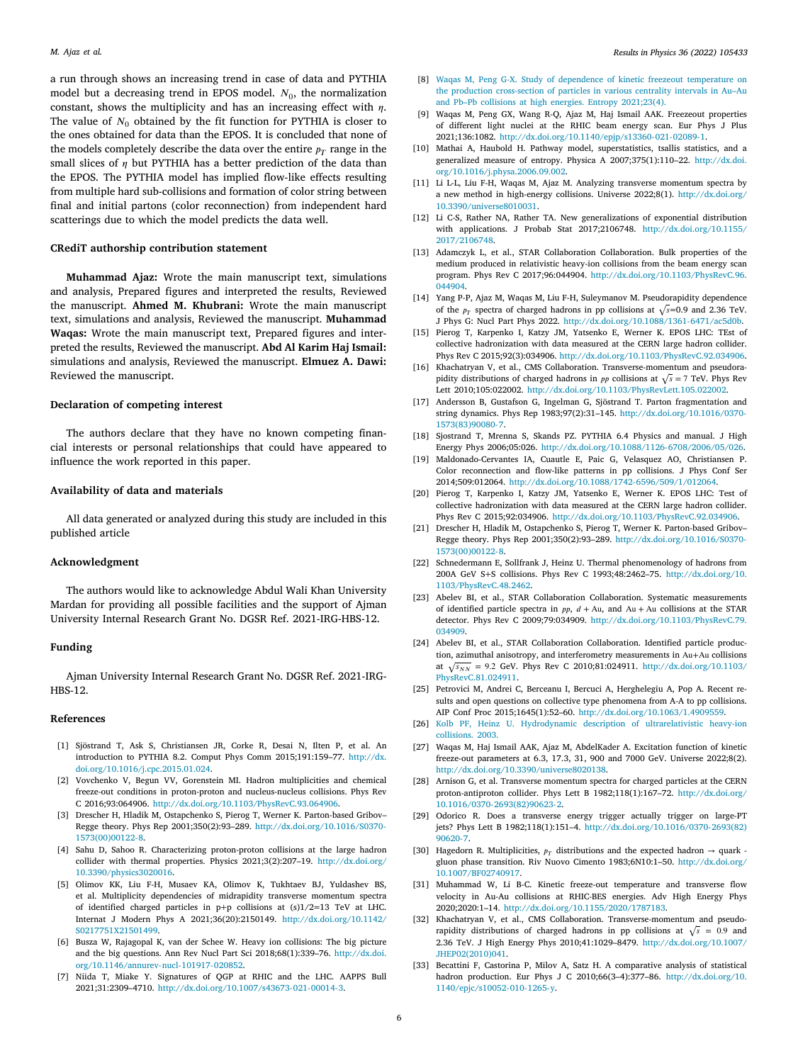a run through shows an increasing trend in case of data and PYTHIA model but a decreasing trend in EPOS model.  $N_0$ , the normalization constant, shows the multiplicity and has an increasing effect with  $\eta$ . The value of  $N_0$  obtained by the fit function for PYTHIA is closer to the ones obtained for data than the EPOS. It is concluded that none of the models completely describe the data over the entire  $p_T$  range in the small slices of  $n$  but PYTHIA has a better prediction of the data than the EPOS. The PYTHIA model has implied flow-like effects resulting from multiple hard sub-collisions and formation of color string between final and initial partons (color reconnection) from independent hard scatterings due to which the model predicts the data well.

## **CRediT authorship contribution statement**

**Muhammad Ajaz:** Wrote the main manuscript text, simulations and analysis, Prepared figures and interpreted the results, Reviewed the manuscript. **Ahmed M. Khubrani:** Wrote the main manuscript text, simulations and analysis, Reviewed the manuscript. **Muhammad Waqas:** Wrote the main manuscript text, Prepared figures and interpreted the results, Reviewed the manuscript. **Abd Al Karim Haj Ismail:** simulations and analysis, Reviewed the manuscript. **Elmuez A. Dawi:** Reviewed the manuscript.

## **Declaration of competing interest**

The authors declare that they have no known competing financial interests or personal relationships that could have appeared to influence the work reported in this paper.

## **Availability of data and materials**

All data generated or analyzed during this study are included in this published article

#### **Acknowledgment**

The authors would like to acknowledge Abdul Wali Khan University Mardan for providing all possible facilities and the support of Ajman University Internal Research Grant No. DGSR Ref. 2021-IRG-HBS-12.

## **Funding**

Ajman University Internal Research Grant No. DGSR Ref. 2021-IRG-HBS-12.

#### **References**

- <span id="page-5-0"></span>[1] Sjöstrand T, Ask S, Christiansen JR, Corke R, Desai N, Ilten P, et al. An introduction to PYTHIA 8.2. Comput Phys Comm 2015;191:159–77. [http://dx.](http://dx.doi.org/10.1016/j.cpc.2015.01.024) [doi.org/10.1016/j.cpc.2015.01.024](http://dx.doi.org/10.1016/j.cpc.2015.01.024).
- <span id="page-5-1"></span>[2] Vovchenko V, Begun VV, Gorenstein MI. Hadron multiplicities and chemical freeze-out conditions in proton-proton and nucleus-nucleus collisions. Phys Rev C 2016;93:064906. <http://dx.doi.org/10.1103/PhysRevC.93.064906>.
- <span id="page-5-2"></span>[3] Drescher H, Hladik M, Ostapchenko S, Pierog T, Werner K. Parton-based Gribov– Regge theory. Phys Rep 2001;350(2):93–289. [http://dx.doi.org/10.1016/S0370-](http://dx.doi.org/10.1016/S0370-1573(00)00122-8) [1573\(00\)00122-8.](http://dx.doi.org/10.1016/S0370-1573(00)00122-8)
- <span id="page-5-3"></span>[4] Sahu D, Sahoo R. Characterizing proton-proton collisions at the large hadron collider with thermal properties. Physics 2021;3(2):207–19. [http://dx.doi.org/](http://dx.doi.org/10.3390/physics3020016) [10.3390/physics3020016.](http://dx.doi.org/10.3390/physics3020016)
- <span id="page-5-4"></span>[5] Olimov KK, Liu F-H, Musaev KA, Olimov K, Tukhtaev BJ, Yuldashev BS, et al. Multiplicity dependencies of midrapidity transverse momentum spectra of identified charged particles in p+p collisions at (s)1/2=13 TeV at LHC. Internat J Modern Phys A 2021;36(20):2150149. [http://dx.doi.org/10.1142/](http://dx.doi.org/10.1142/S0217751X21501499) [S0217751X21501499.](http://dx.doi.org/10.1142/S0217751X21501499)
- <span id="page-5-5"></span>[6] Busza W, Rajagopal K, van der Schee W. Heavy ion collisions: The big picture and the big questions. Ann Rev Nucl Part Sci 2018;68(1):339–76. [http://dx.doi.](http://dx.doi.org/10.1146/annurev-nucl-101917-020852) [org/10.1146/annurev-nucl-101917-020852](http://dx.doi.org/10.1146/annurev-nucl-101917-020852).
- <span id="page-5-6"></span>[7] Niida T, Miake Y. Signatures of QGP at RHIC and the LHC. AAPPS Bull 2021;31:2309–4710. <http://dx.doi.org/10.1007/s43673-021-00014-3>.
- <span id="page-5-7"></span>[8] [Waqas M, Peng G-X. Study of dependence of kinetic freezeout temperature on](http://refhub.elsevier.com/S2211-3797(22)00189-9/sb8) [the production cross-section of particles in various centrality intervals in Au–Au](http://refhub.elsevier.com/S2211-3797(22)00189-9/sb8) [and Pb–Pb collisions at high energies. Entropy 2021;23\(4\).](http://refhub.elsevier.com/S2211-3797(22)00189-9/sb8)
- <span id="page-5-8"></span>[9] Waqas M, Peng GX, Wang R-Q, Ajaz M, Haj Ismail AAK. Freezeout properties of different light nuclei at the RHIC beam energy scan. Eur Phys J Plus 2021;136:1082. [http://dx.doi.org/10.1140/epjp/s13360-021-02089-1.](http://dx.doi.org/10.1140/epjp/s13360-021-02089-1)
- <span id="page-5-9"></span>[10] Mathai A, Haubold H. Pathway model, superstatistics, tsallis statistics, and a generalized measure of entropy. Physica A 2007;375(1):110–22. [http://dx.doi.](http://dx.doi.org/10.1016/j.physa.2006.09.002) [org/10.1016/j.physa.2006.09.002](http://dx.doi.org/10.1016/j.physa.2006.09.002).
- <span id="page-5-10"></span>[11] Li L-L, Liu F-H, Waqas M, Ajaz M. Analyzing transverse momentum spectra by a new method in high-energy collisions. Universe 2022;8(1). [http://dx.doi.org/](http://dx.doi.org/10.3390/universe8010031) [10.3390/universe8010031.](http://dx.doi.org/10.3390/universe8010031)
- <span id="page-5-11"></span>[12] Li C-S, Rather NA, Rather TA. New generalizations of exponential distribution with applications. J Probab Stat 2017;2106748. [http://dx.doi.org/10.1155/](http://dx.doi.org/10.1155/2017/2106748) [2017/2106748](http://dx.doi.org/10.1155/2017/2106748).
- <span id="page-5-12"></span>[13] Adamczyk L, et al., STAR Collaboration Collaboration. Bulk properties of the medium produced in relativistic heavy-ion collisions from the beam energy scan program. Phys Rev C 2017;96:044904. [http://dx.doi.org/10.1103/PhysRevC.96.](http://dx.doi.org/10.1103/PhysRevC.96.044904) [044904](http://dx.doi.org/10.1103/PhysRevC.96.044904).
- <span id="page-5-13"></span>[14] Yang P-P, Ajaz M, Waqas M, Liu F-H, Suleymanov M. Pseudorapidity dependence of the  $p_T$  spectra of charged hadrons in pp collisions at  $\sqrt{s}$ =0.9 and 2.36 TeV. J Phys G: Nucl Part Phys 2022. [http://dx.doi.org/10.1088/1361-6471/ac5d0b.](http://dx.doi.org/10.1088/1361-6471/ac5d0b)
- <span id="page-5-14"></span>[15] Pierog T, Karpenko I, Katzy JM, Yatsenko E, Werner K. EPOS LHC: TEst of collective hadronization with data measured at the CERN large hadron collider. Phys Rev C 2015;92(3):034906. [http://dx.doi.org/10.1103/PhysRevC.92.034906.](http://dx.doi.org/10.1103/PhysRevC.92.034906)
- <span id="page-5-15"></span>[16] Khachatryan V, et al., CMS Collaboration. Transverse-momentum and pseudorapidity distributions of charged hadrons in *pp* collisions at  $\sqrt{s} = 7$  TeV. Phys Rev Lett 2010;105:022002. <http://dx.doi.org/10.1103/PhysRevLett.105.022002>.
- <span id="page-5-16"></span>[17] Andersson B, Gustafson G, Ingelman G, Sjöstrand T. Parton fragmentation and string dynamics. Phys Rep 1983;97(2):31–145. [http://dx.doi.org/10.1016/0370-](http://dx.doi.org/10.1016/0370-1573(83)90080-7) [1573\(83\)90080-7.](http://dx.doi.org/10.1016/0370-1573(83)90080-7)
- <span id="page-5-17"></span>[18] Sjostrand T, Mrenna S, Skands PZ. PYTHIA 6.4 Physics and manual. J High Energy Phys 2006;05:026. [http://dx.doi.org/10.1088/1126-6708/2006/05/026.](http://dx.doi.org/10.1088/1126-6708/2006/05/026)
- <span id="page-5-18"></span>[19] Maldonado-Cervantes IA, Cuautle E, Paic G, Velasquez AO, Christiansen P. Color reconnection and flow-like patterns in pp collisions. J Phys Conf Ser 2014;509:012064. [http://dx.doi.org/10.1088/1742-6596/509/1/012064.](http://dx.doi.org/10.1088/1742-6596/509/1/012064)
- <span id="page-5-19"></span>[20] Pierog T, Karpenko I, Katzy JM, Yatsenko E, Werner K. EPOS LHC: Test of collective hadronization with data measured at the CERN large hadron collider. Phys Rev C 2015;92:034906. [http://dx.doi.org/10.1103/PhysRevC.92.034906.](http://dx.doi.org/10.1103/PhysRevC.92.034906)
- <span id="page-5-20"></span>[21] Drescher H, Hladik M, Ostapchenko S, Pierog T, Werner K. Parton-based Gribov– Regge theory. Phys Rep 2001;350(2):93–289. [http://dx.doi.org/10.1016/S0370-](http://dx.doi.org/10.1016/S0370-1573(00)00122-8) [1573\(00\)00122-8.](http://dx.doi.org/10.1016/S0370-1573(00)00122-8)
- <span id="page-5-21"></span>[22] Schnedermann E, Sollfrank J, Heinz U. Thermal phenomenology of hadrons from 200A GeV S+S collisions. Phys Rev C 1993;48:2462–75. [http://dx.doi.org/10.](http://dx.doi.org/10.1103/PhysRevC.48.2462) [1103/PhysRevC.48.2462](http://dx.doi.org/10.1103/PhysRevC.48.2462).
- <span id="page-5-23"></span>[23] Abelev BI, et al., STAR Collaboration Collaboration. Systematic measurements of identified particle spectra in  $pp$ ,  $d + Au$ , and  $Au + Au$  collisions at the STAR detector. Phys Rev C 2009;79:034909. [http://dx.doi.org/10.1103/PhysRevC.79.](http://dx.doi.org/10.1103/PhysRevC.79.034909) [034909](http://dx.doi.org/10.1103/PhysRevC.79.034909).
- <span id="page-5-22"></span>[24] Abelev BI, et al., STAR Collaboration Collaboration. Identified particle production, azimuthal anisotropy, and interferometry measurements in Au+Au collisions at  $\sqrt{s_{NN}}$  = 9.2 GeV. Phys Rev C 2010;81:024911. [http://dx.doi.org/10.1103/](http://dx.doi.org/10.1103/PhysRevC.81.024911) [PhysRevC.81.024911.](http://dx.doi.org/10.1103/PhysRevC.81.024911)
- <span id="page-5-24"></span>[25] Petrovici M, Andrei C, Berceanu I, Bercuci A, Herghelegiu A, Pop A. Recent results and open questions on collective type phenomena from A-A to pp collisions. AIP Conf Proc 2015;1645(1):52–60. <http://dx.doi.org/10.1063/1.4909559>.
- <span id="page-5-25"></span>[26] [Kolb PF, Heinz U. Hydrodynamic description of ultrarelativistic heavy-ion](http://refhub.elsevier.com/S2211-3797(22)00189-9/sb26) [collisions. 2003.](http://refhub.elsevier.com/S2211-3797(22)00189-9/sb26)
- <span id="page-5-26"></span>[27] Waqas M, Haj Ismail AAK, Ajaz M, AbdelKader A. Excitation function of kinetic freeze-out parameters at 6.3, 17.3, 31, 900 and 7000 GeV. Universe 2022;8(2). <http://dx.doi.org/10.3390/universe8020138>.
- <span id="page-5-27"></span>[28] Arnison G, et al. Transverse momentum spectra for charged particles at the CERN proton-antiproton collider. Phys Lett B 1982;118(1):167–72. [http://dx.doi.org/](http://dx.doi.org/10.1016/0370-2693(82)90623-2) [10.1016/0370-2693\(82\)90623-2](http://dx.doi.org/10.1016/0370-2693(82)90623-2).
- [29] Odorico R. Does a transverse energy trigger actually trigger on large-PT jets? Phys Lett B 1982;118(1):151–4. [http://dx.doi.org/10.1016/0370-2693\(82\)](http://dx.doi.org/10.1016/0370-2693(82)90620-7) [90620-7.](http://dx.doi.org/10.1016/0370-2693(82)90620-7)
- <span id="page-5-28"></span>[30] Hagedorn R. Multiplicities,  $p_T$  distributions and the expected hadron  $\rightarrow$  quark gluon phase transition. Riv Nuovo Cimento 1983;6N10:1–50. [http://dx.doi.org/](http://dx.doi.org/10.1007/BF02740917) [10.1007/BF02740917](http://dx.doi.org/10.1007/BF02740917).
- <span id="page-5-29"></span>[31] Muhammad W, Li B-C. Kinetic freeze-out temperature and transverse flow velocity in Au-Au collisions at RHIC-BES energies. Adv High Energy Phys 2020;2020:1–14. [http://dx.doi.org/10.1155/2020/1787183.](http://dx.doi.org/10.1155/2020/1787183)
- <span id="page-5-30"></span>[32] Khachatryan V, et al., CMS Collaboration. Transverse-momentum and pseudorapidity distributions of charged hadrons in pp collisions at  $\sqrt{s}$  = 0.9 and 2.36 TeV. J High Energy Phys 2010;41:1029–8479. [http://dx.doi.org/10.1007/](http://dx.doi.org/10.1007/JHEP02(2010)041) [JHEP02\(2010\)041.](http://dx.doi.org/10.1007/JHEP02(2010)041)
- <span id="page-5-31"></span>[33] Becattini F, Castorina P, Milov A, Satz H. A comparative analysis of statistical hadron production. Eur Phys J C 2010;66(3–4):377–86. [http://dx.doi.org/10.](http://dx.doi.org/10.1140/epjc/s10052-010-1265-y) [1140/epjc/s10052-010-1265-y](http://dx.doi.org/10.1140/epjc/s10052-010-1265-y).